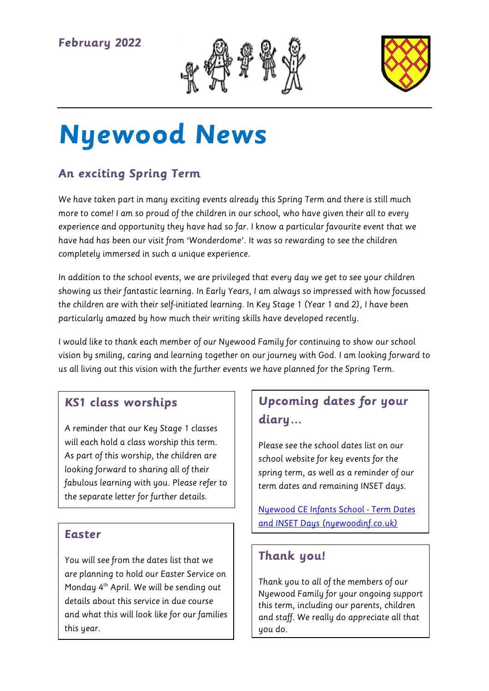



# **Nyewood News**

# **An exciting Spring Term**

We have taken part in many exciting events already this Spring Term and there is still much more to come! I am so proud of the children in our school, who have given their all to every experience and opportunity they have had so far. I know a particular favourite event that we have had has been our visit from 'Wonderdome'. It was so rewarding to see the children completely immersed in such a unique experience.

In addition to the school events, we are privileged that every day we get to see your children showing us their fantastic learning. In Early Years, I am always so impressed with how focussed the children are with their self-initiated learning. In Key Stage 1 (Year 1 and 2), I have been particularly amazed by how much their writing skills have developed recently.

I would like to thank each member of our Nyewood Family for continuing to show our school vision by smiling, caring and learning together on our journey with God. I am looking forward to us all living out this vision with the further events we have planned for the Spring Term.

### **KS1 class worships**

A reminder that our Key Stage 1 classes will each hold a class worship this term. As part of this worship, the children are looking forward to sharing all of their fabulous learning with you. Please refer to the separate letter for further details.

#### **Easter**

You will see from the dates list that we are planning to hold our Easter Service on Monday 4<sup>th</sup> April. We will be sending out details about this service in due course and what this will look like for our families this year.

# **Upcoming dates for your diary…**

Please see the school dates list on our school website for key events for the spring term, as well as a reminder of our term dates and remaining INSET days.

[Nyewood CE Infants School -](https://www.nyewoodinf.co.uk/page/?title=Term+Dates+and+INSET+Days&pid=40) Term Dates [and INSET Days \(nyewoodinf.co.uk\)](https://www.nyewoodinf.co.uk/page/?title=Term+Dates+and+INSET+Days&pid=40)

## **Thank you!**

Thank you to all of the members of our Nyewood Family for your ongoing support this term, including our parents, children and staff. We really do appreciate all that you do.